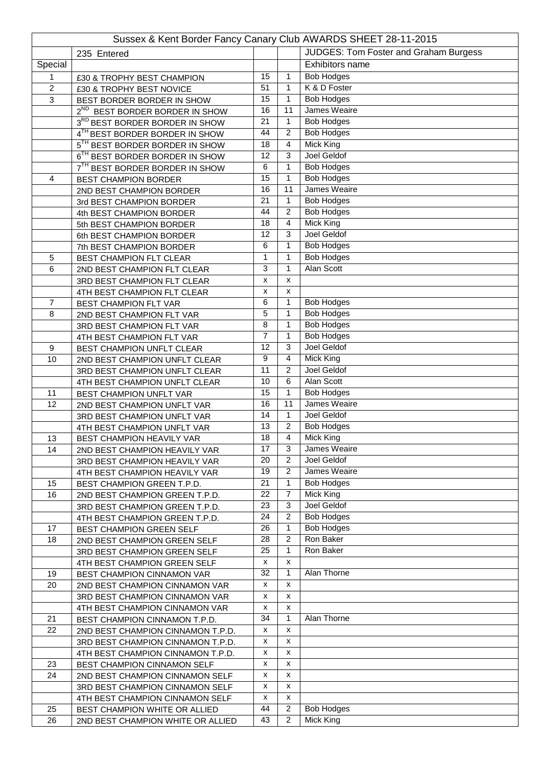| Sussex & Kent Border Fancy Canary Club AWARDS SHEET 28-11-2015 |                                                              |                       |                     |                                       |  |  |  |
|----------------------------------------------------------------|--------------------------------------------------------------|-----------------------|---------------------|---------------------------------------|--|--|--|
|                                                                | 235 Entered                                                  |                       |                     | JUDGES: Tom Foster and Graham Burgess |  |  |  |
| Special                                                        |                                                              |                       |                     | Exhibitors name                       |  |  |  |
| 1                                                              | £30 & TROPHY BEST CHAMPION                                   | 15                    | 1                   | <b>Bob Hodges</b>                     |  |  |  |
| $\overline{2}$                                                 | £30 & TROPHY BEST NOVICE                                     | 51                    | 1                   | K & D Foster                          |  |  |  |
| 3                                                              | BEST BORDER BORDER IN SHOW                                   | 15                    | 1                   | <b>Bob Hodges</b>                     |  |  |  |
|                                                                | 2 <sup>ND</sup> BEST BORDER BORDER IN SHOW                   | 16                    | 11                  | James Weaire                          |  |  |  |
|                                                                | 3RD BEST BORDER BORDER IN SHOW                               | 21                    | 1                   | <b>Bob Hodges</b>                     |  |  |  |
|                                                                | 4TH BEST BORDER BORDER IN SHOW                               | 44                    | $\overline{2}$      | <b>Bob Hodges</b>                     |  |  |  |
|                                                                | 5 <sup>TH</sup> BEST BORDER BORDER IN SHOW                   | 18                    | 4                   | <b>Mick King</b>                      |  |  |  |
|                                                                | 6 <sup>TH</sup> BEST BORDER BORDER IN SHOW                   | 12                    | 3                   | Joel Geldof                           |  |  |  |
|                                                                | BEST BORDER BORDER IN SHOW                                   | 6                     | 1                   | <b>Bob Hodges</b>                     |  |  |  |
| $\overline{4}$                                                 | <b>BEST CHAMPION BORDER</b>                                  | 15                    | 1                   | <b>Bob Hodges</b>                     |  |  |  |
|                                                                | 2ND BEST CHAMPION BORDER                                     | 16                    | 11                  | <b>James Weaire</b>                   |  |  |  |
|                                                                | 3rd BEST CHAMPION BORDER                                     | 21                    | $\mathbf{1}$        | <b>Bob Hodges</b>                     |  |  |  |
|                                                                | 4th BEST CHAMPION BORDER                                     | 44                    | 2                   | <b>Bob Hodges</b>                     |  |  |  |
|                                                                | 5th BEST CHAMPION BORDER                                     | 18                    | 4                   | Mick King                             |  |  |  |
|                                                                | 6th BEST CHAMPION BORDER                                     | 12                    | 3                   | <b>Joel Geldof</b>                    |  |  |  |
|                                                                | 7th BEST CHAMPION BORDER                                     | 6                     | 1                   | <b>Bob Hodges</b>                     |  |  |  |
| 5                                                              | BEST CHAMPION FLT CLEAR                                      | 1                     | 1                   | <b>Bob Hodges</b>                     |  |  |  |
| 6                                                              | 2ND BEST CHAMPION FLT CLEAR                                  | 3                     | 1                   | Alan Scott                            |  |  |  |
|                                                                | 3RD BEST CHAMPION FLT CLEAR                                  | x                     | x                   |                                       |  |  |  |
|                                                                | 4TH BEST CHAMPION FLT CLEAR                                  | x                     | x                   |                                       |  |  |  |
| $\overline{7}$                                                 | BEST CHAMPION FLT VAR                                        | 6                     | 1                   | <b>Bob Hodges</b>                     |  |  |  |
| 8                                                              | 2ND BEST CHAMPION FLT VAR                                    | 5                     | 1                   | <b>Bob Hodges</b>                     |  |  |  |
|                                                                | 3RD BEST CHAMPION FLT VAR                                    | 8                     | 1                   | <b>Bob Hodges</b>                     |  |  |  |
|                                                                | 4TH BEST CHAMPION FLT VAR                                    | 7                     | 1                   | <b>Bob Hodges</b>                     |  |  |  |
| $\boldsymbol{9}$                                               | BEST CHAMPION UNFLT CLEAR                                    | 12                    | 3                   | Joel Geldof                           |  |  |  |
| 10                                                             | 2ND BEST CHAMPION UNFLT CLEAR                                | 9                     | 4                   | Mick King                             |  |  |  |
|                                                                | 3RD BEST CHAMPION UNFLT CLEAR                                | 11                    | 2                   | Joel Geldof                           |  |  |  |
|                                                                | 4TH BEST CHAMPION UNFLT CLEAR                                | 10                    | 6                   | Alan Scott                            |  |  |  |
| 11                                                             | BEST CHAMPION UNFLT VAR                                      | 15                    | 1                   | <b>Bob Hodges</b>                     |  |  |  |
| 12                                                             | 2ND BEST CHAMPION UNFLT VAR                                  | 16                    | 11                  | James Weaire                          |  |  |  |
|                                                                | 3RD BEST CHAMPION UNFLT VAR                                  | 14<br>$\overline{13}$ | 1<br>$\overline{2}$ | Joel Geldof<br><b>Bob Hodges</b>      |  |  |  |
|                                                                | 4TH BEST CHAMPION UNFLT VAR                                  | $\overline{18}$       | $\overline{4}$      | Mick King                             |  |  |  |
| 13<br>14                                                       | BEST CHAMPION HEAVILY VAR<br>2ND BEST CHAMPION HEAVILY VAR   | 17                    | 3                   | James Weaire                          |  |  |  |
|                                                                |                                                              | 20                    | 2                   | Joel Geldof                           |  |  |  |
|                                                                | 3RD BEST CHAMPION HEAVILY VAR                                | 19                    | 2                   | James Weaire                          |  |  |  |
| 15                                                             | 4TH BEST CHAMPION HEAVILY VAR                                | 21                    | 1                   | <b>Bob Hodges</b>                     |  |  |  |
| 16                                                             | BEST CHAMPION GREEN T.P.D.<br>2ND BEST CHAMPION GREEN T.P.D. | 22                    | 7                   | Mick King                             |  |  |  |
|                                                                | 3RD BEST CHAMPION GREEN T.P.D.                               | 23                    | 3                   | Joel Geldof                           |  |  |  |
|                                                                | 4TH BEST CHAMPION GREEN T.P.D.                               | 24                    | 2                   | <b>Bob Hodges</b>                     |  |  |  |
| 17                                                             | BEST CHAMPION GREEN SELF                                     | 26                    | $\mathbf{1}$        | <b>Bob Hodges</b>                     |  |  |  |
| 18                                                             | 2ND BEST CHAMPION GREEN SELF                                 | 28                    | 2                   | Ron Baker                             |  |  |  |
|                                                                | 3RD BEST CHAMPION GREEN SELF                                 | 25                    | 1                   | Ron Baker                             |  |  |  |
|                                                                | 4TH BEST CHAMPION GREEN SELF                                 | X                     | x                   |                                       |  |  |  |
| 19                                                             | BEST CHAMPION CINNAMON VAR                                   | 32                    | 1                   | Alan Thorne                           |  |  |  |
| 20                                                             | 2ND BEST CHAMPION CINNAMON VAR                               | X                     | x                   |                                       |  |  |  |
|                                                                | 3RD BEST CHAMPION CINNAMON VAR                               | X                     | x                   |                                       |  |  |  |
|                                                                | 4TH BEST CHAMPION CINNAMON VAR                               | X                     | x                   |                                       |  |  |  |
| 21                                                             | BEST CHAMPION CINNAMON T.P.D.                                | 34                    | $\mathbf{1}$        | Alan Thorne                           |  |  |  |
| 22                                                             | 2ND BEST CHAMPION CINNAMON T.P.D.                            | X                     | х                   |                                       |  |  |  |
|                                                                | 3RD BEST CHAMPION CINNAMON T.P.D.                            | x                     | x                   |                                       |  |  |  |
|                                                                | 4TH BEST CHAMPION CINNAMON T.P.D.                            | х                     | x                   |                                       |  |  |  |
| 23                                                             | BEST CHAMPION CINNAMON SELF                                  | X                     | x                   |                                       |  |  |  |
| 24                                                             | 2ND BEST CHAMPION CINNAMON SELF                              | x                     | x                   |                                       |  |  |  |
|                                                                | 3RD BEST CHAMPION CINNAMON SELF                              | x                     | x                   |                                       |  |  |  |
|                                                                | 4TH BEST CHAMPION CINNAMON SELF                              | x                     | x                   |                                       |  |  |  |
| 25                                                             | BEST CHAMPION WHITE OR ALLIED                                | 44                    | $\overline{c}$      | <b>Bob Hodges</b>                     |  |  |  |
| 26                                                             | 2ND BEST CHAMPION WHITE OR ALLIED                            | 43                    | $\overline{2}$      | <b>Mick King</b>                      |  |  |  |